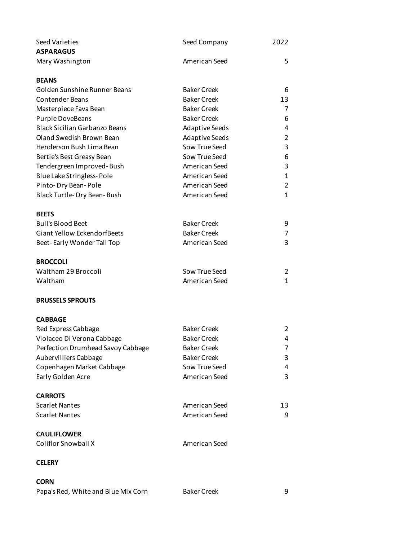| Seed Varieties                       | Seed Company          | 2022           |
|--------------------------------------|-----------------------|----------------|
| <b>ASPARAGUS</b>                     |                       |                |
| Mary Washington                      | American Seed         | 5              |
| <b>BEANS</b>                         |                       |                |
| Golden Sunshine Runner Beans         | <b>Baker Creek</b>    | 6              |
| <b>Contender Beans</b>               | <b>Baker Creek</b>    | 13             |
| Masterpiece Fava Bean                | <b>Baker Creek</b>    | 7              |
| Purple DoveBeans                     | <b>Baker Creek</b>    | 6              |
| <b>Black Sicilian Garbanzo Beans</b> | <b>Adaptive Seeds</b> | 4              |
| Oland Swedish Brown Bean             | <b>Adaptive Seeds</b> | $\overline{2}$ |
| Henderson Bush Lima Bean             | Sow True Seed         | 3              |
| Bertie's Best Greasy Bean            | Sow True Seed         | 6              |
| Tendergreen Improved-Bush            | American Seed         | 3              |
| Blue Lake Stringless-Pole            | American Seed         | $\mathbf{1}$   |
| Pinto-Dry Bean-Pole                  | American Seed         | $\overline{2}$ |
| Black Turtle-Dry Bean-Bush           | American Seed         | 1              |
| <b>BEETS</b>                         |                       |                |
| <b>Bull's Blood Beet</b>             | <b>Baker Creek</b>    | 9              |
| <b>Giant Yellow EckendorfBeets</b>   | <b>Baker Creek</b>    | $\overline{7}$ |
| Beet-Early Wonder Tall Top           | American Seed         | 3              |
| <b>BROCCOLI</b>                      |                       |                |
| Waltham 29 Broccoli                  | Sow True Seed         | $\overline{2}$ |
| Waltham                              | American Seed         | $\mathbf{1}$   |
| <b>BRUSSELS SPROUTS</b>              |                       |                |
| <b>CABBAGE</b>                       |                       |                |
| Red Express Cabbage                  | <b>Baker Creek</b>    | $\overline{2}$ |
| Violaceo Di Verona Cabbage           | <b>Baker Creek</b>    | 4              |
| Perfection Drumhead Savoy Cabbage    | <b>Baker Creek</b>    | 7              |
| Aubervilliers Cabbage                | <b>Baker Creek</b>    | 3              |
| Copenhagen Market Cabbage            | Sow True Seed         | 4              |
| Early Golden Acre                    | American Seed         | 3              |
| <b>CARROTS</b>                       |                       |                |
| <b>Scarlet Nantes</b>                | American Seed         | 13             |
| <b>Scarlet Nantes</b>                | American Seed         | 9              |
| <b>CAULIFLOWER</b>                   |                       |                |
| <b>Coliflor Snowball X</b>           | American Seed         |                |
| <b>CELERY</b>                        |                       |                |
| <b>CORN</b>                          |                       |                |

Papa's Red, White and Blue Mix Corn Baker Creek 9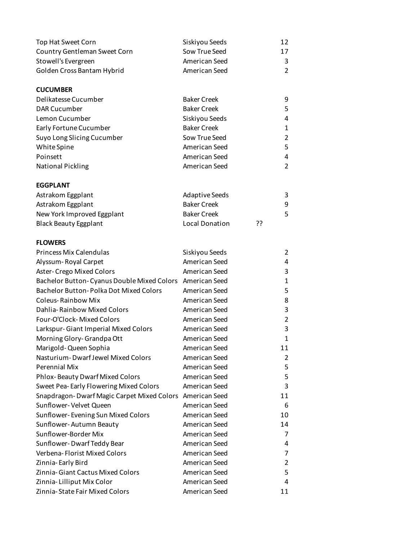| Top Hat Sweet Corn                                       | Siskiyou Seeds        |    | 12             |
|----------------------------------------------------------|-----------------------|----|----------------|
| Country Gentleman Sweet Corn                             | Sow True Seed         |    | 17             |
| Stowell's Evergreen                                      | American Seed         |    | 3              |
| Golden Cross Bantam Hybrid                               | American Seed         |    | $\overline{2}$ |
| <b>CUCUMBER</b>                                          |                       |    |                |
| Delikatesse Cucumber                                     | <b>Baker Creek</b>    |    | 9              |
| <b>DAR Cucumber</b>                                      | <b>Baker Creek</b>    |    | 5              |
| Lemon Cucumber                                           | Siskiyou Seeds        |    | 4              |
| Early Fortune Cucumber                                   | <b>Baker Creek</b>    |    | 1              |
| Suyo Long Slicing Cucumber                               | Sow True Seed         |    | $\overline{2}$ |
| White Spine                                              | American Seed         |    | 5              |
| Poinsett                                                 | American Seed         |    | 4              |
| <b>National Pickling</b>                                 | American Seed         |    | $\overline{2}$ |
| <b>EGGPLANT</b>                                          |                       |    |                |
| Astrakom Eggplant                                        | <b>Adaptive Seeds</b> |    | 3              |
| Astrakom Eggplant                                        | <b>Baker Creek</b>    |    | 9              |
| New York Improved Eggplant                               | <b>Baker Creek</b>    |    | 5              |
| <b>Black Beauty Eggplant</b>                             | <b>Local Donation</b> | ?? |                |
| <b>FLOWERS</b>                                           |                       |    |                |
| <b>Princess Mix Calendulas</b>                           | Siskiyou Seeds        |    | 2              |
| Alyssum-Royal Carpet                                     | American Seed         |    | 4              |
| Aster-Crego Mixed Colors                                 | American Seed         |    | 3              |
| Bachelor Button-Cyanus Double Mixed Colors American Seed |                       |    | 1              |
| Bachelor Button-Polka Dot Mixed Colors                   | American Seed         |    | 5              |
| <b>Coleus-Rainbow Mix</b>                                | American Seed         |    | 8              |
| Dahlia-Rainbow Mixed Colors                              | American Seed         |    | 3              |
| Four-O'Clock-Mixed Colors                                | American Seed         |    | $\overline{2}$ |
| Larkspur-Giant Imperial Mixed Colors                     | American Seed         |    | 3              |
| Morning Glory-Grandpa Ott                                | American Seed         |    | $\mathbf{1}$   |
| Marigold-Queen Sophia                                    | American Seed         |    | 11             |
| Nasturium-Dwarf Jewel Mixed Colors                       | American Seed         |    | 2              |
| Perennial Mix                                            | American Seed         |    | 5              |
| <b>Phlox-Beauty Dwarf Mixed Colors</b>                   | American Seed         |    | 5              |
| Sweet Pea-Early Flowering Mixed Colors                   | American Seed         |    | 3              |
| Snapdragon-Dwarf Magic Carpet Mixed Colors American Seed |                       |    | 11             |
| Sunflower-Velvet Queen                                   | American Seed         |    | 6              |
| Sunflower-Evening Sun Mixed Colors                       | American Seed         |    | 10             |
| Sunflower-Autumn Beauty                                  | American Seed         |    | 14             |
| Sunflower-Border Mix                                     | American Seed         |    | 7              |
| Sunflower-Dwarf Teddy Bear                               | American Seed         |    | 4              |
| Verbena-Florist Mixed Colors                             | American Seed         |    | 7              |
| Zinnia-Early Bird                                        | American Seed         |    | 2              |
| Zinnia-Giant Cactus Mixed Colors                         | American Seed         |    | 5              |
| Zinnia-Lilliput Mix Color                                | American Seed         |    | 4              |
| Zinnia-State Fair Mixed Colors                           | American Seed         |    | 11             |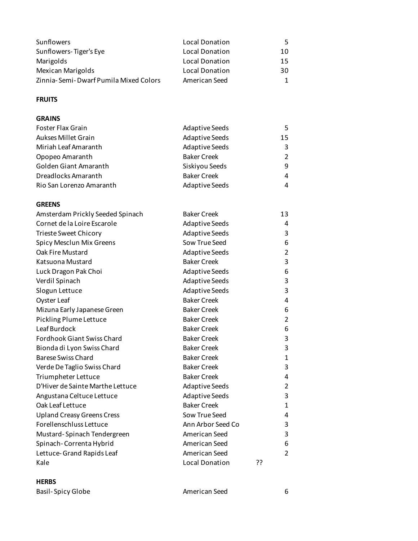| Sunflowers                            | Local Donation        | 5. |
|---------------------------------------|-----------------------|----|
| Sunflowers-Tiger's Eye                | <b>Local Donation</b> | 10 |
| Marigolds                             | <b>Local Donation</b> | 15 |
| <b>Mexican Marigolds</b>              | <b>Local Donation</b> | 30 |
| Zinnia-Semi-Dwarf Pumila Mixed Colors | American Seed         | 1. |

# **FRUITS**

### **GRAINS**

| Foster Flax Grain        | <b>Adaptive Seeds</b> | 5. |
|--------------------------|-----------------------|----|
| Aukses Millet Grain      | <b>Adaptive Seeds</b> | 15 |
| Miriah Leaf Amaranth     | <b>Adaptive Seeds</b> | 3  |
| Opopeo Amaranth          | <b>Baker Creek</b>    | 2  |
| Golden Giant Amaranth    | Siskiyou Seeds        | q  |
| Dreadlocks Amaranth      | <b>Baker Creek</b>    | 4  |
| Rio San Lorenzo Amaranth | <b>Adaptive Seeds</b> | 4  |

## **GREENS**

| Amsterdam Prickly Seeded Spinach  | <b>Baker Creek</b>    |    | 13             |
|-----------------------------------|-----------------------|----|----------------|
| Cornet de la Loire Escarole       | <b>Adaptive Seeds</b> |    | 4              |
| Trieste Sweet Chicory             | <b>Adaptive Seeds</b> |    | 3              |
| Spicy Mesclun Mix Greens          | Sow True Seed         |    | 6              |
| Oak Fire Mustard                  | <b>Adaptive Seeds</b> |    | $\overline{c}$ |
| Katsuona Mustard                  | <b>Baker Creek</b>    |    | 3              |
| Luck Dragon Pak Choi              | <b>Adaptive Seeds</b> |    | 6              |
| Verdil Spinach                    | <b>Adaptive Seeds</b> |    | 3              |
| Slogun Lettuce                    | <b>Adaptive Seeds</b> |    | 3              |
| Oyster Leaf                       | <b>Baker Creek</b>    |    | 4              |
| Mizuna Early Japanese Green       | <b>Baker Creek</b>    |    | 6              |
| Pickling Plume Lettuce            | <b>Baker Creek</b>    |    | $\overline{2}$ |
| Leaf Burdock                      | <b>Baker Creek</b>    |    | 6              |
| <b>Fordhook Giant Swiss Chard</b> | <b>Baker Creek</b>    |    | 3              |
| Bionda di Lyon Swiss Chard        | <b>Baker Creek</b>    |    | 3              |
| <b>Barese Swiss Chard</b>         | <b>Baker Creek</b>    |    | $\overline{1}$ |
| Verde De Taglio Swiss Chard       | <b>Baker Creek</b>    |    | 3              |
| Triumpheter Lettuce               | <b>Baker Creek</b>    |    | 4              |
| D'Hiver de Sainte Marthe Lettuce  | <b>Adaptive Seeds</b> |    | $\overline{2}$ |
| Angustana Celtuce Lettuce         | <b>Adaptive Seeds</b> |    | 3              |
| Oak Leaf Lettuce                  | <b>Baker Creek</b>    |    | $\overline{1}$ |
| <b>Upland Creasy Greens Cress</b> | Sow True Seed         |    | 4              |
| Forellenschluss Lettuce           | Ann Arbor Seed Co     |    | 3              |
| Mustard-Spinach Tendergreen       | American Seed         |    | 3              |
| Spinach-Correnta Hybrid           | American Seed         |    | 6              |
| Lettuce-Grand Rapids Leaf         | American Seed         |    | $\overline{2}$ |
| Kale                              | <b>Local Donation</b> | ?? |                |
|                                   |                       |    |                |

### **HERBS**

Basil- Spicy Globe **American** Seed 6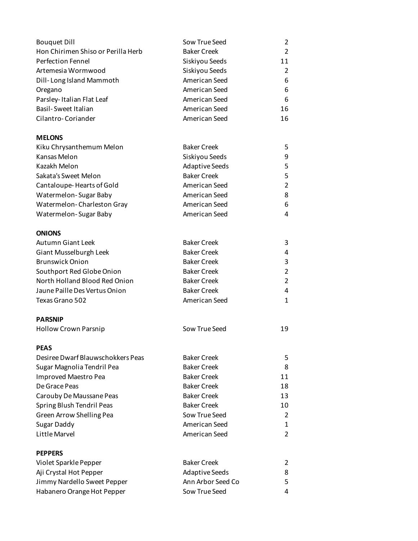| <b>Bouquet Dill</b>                | Sow True Seed         | 2              |
|------------------------------------|-----------------------|----------------|
| Hon Chirimen Shiso or Perilla Herb | <b>Baker Creek</b>    | $\overline{2}$ |
| <b>Perfection Fennel</b>           | Siskiyou Seeds        | 11             |
| Artemesia Wormwood                 | Siskiyou Seeds        | $\overline{2}$ |
| Dill-Long Island Mammoth           | American Seed         | 6              |
| Oregano                            | American Seed         | 6              |
| Parsley-Italian Flat Leaf          | American Seed         | 6              |
| <b>Basil-Sweet Italian</b>         | American Seed         | 16             |
| Cilantro-Coriander                 | American Seed         | 16             |
| <b>MELONS</b>                      |                       |                |
| Kiku Chrysanthemum Melon           | <b>Baker Creek</b>    | 5              |
| Kansas Melon                       | Siskiyou Seeds        | 9              |
| Kazakh Melon                       | <b>Adaptive Seeds</b> | 5              |
| Sakata's Sweet Melon               | <b>Baker Creek</b>    | 5              |
| Cantaloupe-Hearts of Gold          | American Seed         | $\overline{2}$ |
| Watermelon-Sugar Baby              | American Seed         | 8              |
| Watermelon-Charleston Gray         | American Seed         | 6              |
| Watermelon-Sugar Baby              | American Seed         | 4              |
| <b>ONIONS</b>                      |                       |                |
| <b>Autumn Giant Leek</b>           | <b>Baker Creek</b>    | 3              |
| Giant Musselburgh Leek             | <b>Baker Creek</b>    | 4              |
| <b>Brunswick Onion</b>             | <b>Baker Creek</b>    | 3              |
| Southport Red Globe Onion          | <b>Baker Creek</b>    | 2              |
| North Holland Blood Red Onion      | <b>Baker Creek</b>    | 2              |
| Jaune Paille Des Vertus Onion      | <b>Baker Creek</b>    | 4              |
| Texas Grano 502                    | American Seed         | 1              |
| <b>PARSNIP</b>                     |                       |                |
| <b>Hollow Crown Parsnip</b>        | Sow True Seed         | 19             |
| <b>PEAS</b>                        |                       |                |
| Desiree Dwarf Blauwschokkers Peas  | <b>Baker Creek</b>    | 5              |
| Sugar Magnolia Tendril Pea         | <b>Baker Creek</b>    | 8              |
| Improved Maestro Pea               | <b>Baker Creek</b>    | 11             |
| De Grace Peas                      | <b>Baker Creek</b>    | 18             |
| Carouby De Maussane Peas           | <b>Baker Creek</b>    | 13             |
| Spring Blush Tendril Peas          | <b>Baker Creek</b>    | 10             |
| Green Arrow Shelling Pea           | Sow True Seed         | 2              |
| Sugar Daddy                        | American Seed         | 1              |
| Little Marvel                      | American Seed         | 2              |
| <b>PEPPERS</b>                     |                       |                |
| Violet Sparkle Pepper              | <b>Baker Creek</b>    | 2              |
| Aji Crystal Hot Pepper             | <b>Adaptive Seeds</b> | 8              |
| Jimmy Nardello Sweet Pepper        | Ann Arbor Seed Co     | 5              |
| Habanero Orange Hot Pepper         | Sow True Seed         | 4              |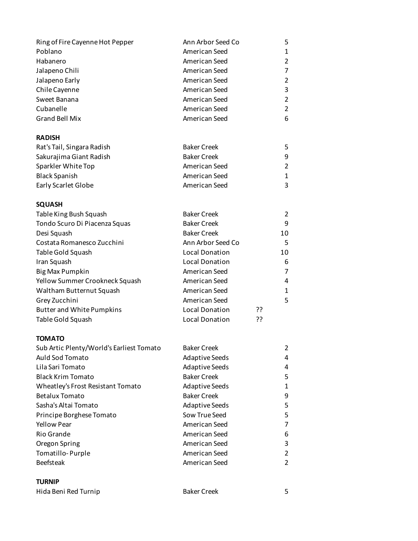| Ring of Fire Cayenne Hot Pepper          | Ann Arbor Seed Co     |    | 5                       |
|------------------------------------------|-----------------------|----|-------------------------|
| Poblano                                  | American Seed         |    | $\mathbf{1}$            |
| Habanero                                 | American Seed         |    | $\overline{c}$          |
| Jalapeno Chili                           | American Seed         |    | $\overline{7}$          |
| Jalapeno Early                           | American Seed         |    | $\overline{2}$          |
| Chile Cayenne                            | American Seed         |    | 3                       |
| Sweet Banana                             | American Seed         |    | $\overline{c}$          |
| Cubanelle                                | American Seed         |    | $\overline{2}$          |
| <b>Grand Bell Mix</b>                    | American Seed         |    | 6                       |
| <b>RADISH</b>                            |                       |    |                         |
| Rat's Tail, Singara Radish               | <b>Baker Creek</b>    |    | 5                       |
| Sakurajima Giant Radish                  | <b>Baker Creek</b>    |    | 9                       |
| Sparkler White Top                       | American Seed         |    | $\overline{c}$          |
| <b>Black Spanish</b>                     | American Seed         |    | $\mathbf{1}$            |
| Early Scarlet Globe                      | American Seed         |    | 3                       |
| <b>SQUASH</b>                            |                       |    |                         |
| Table King Bush Squash                   | <b>Baker Creek</b>    |    | $\overline{2}$          |
| Tondo Scuro Di Piacenza Squas            | <b>Baker Creek</b>    |    | 9                       |
| Desi Squash                              | <b>Baker Creek</b>    |    | 10                      |
| Costata Romanesco Zucchini               | Ann Arbor Seed Co     |    | 5                       |
| Table Gold Squash                        | <b>Local Donation</b> |    | 10                      |
| Iran Squash                              | Local Donation        |    | 6                       |
| <b>Big Max Pumpkin</b>                   | American Seed         |    | $\overline{7}$          |
| Yellow Summer Crookneck Squash           | American Seed         |    | 4                       |
| Waltham Butternut Squash                 | American Seed         |    | $\mathbf{1}$            |
| Grey Zucchini                            | American Seed         |    | 5                       |
| <b>Butter and White Pumpkins</b>         | <b>Local Donation</b> | ?? |                         |
| Table Gold Squash                        | <b>Local Donation</b> | ?? |                         |
| <b>TOMATO</b>                            |                       |    |                         |
| Sub Artic Plenty/World's Earliest Tomato | <b>Baker Creek</b>    |    | $\overline{\mathbf{c}}$ |
| Auld Sod Tomato                          | <b>Adaptive Seeds</b> |    | 4                       |
| Lila Sari Tomato                         | <b>Adaptive Seeds</b> |    | 4                       |
| <b>Black Krim Tomato</b>                 | <b>Baker Creek</b>    |    | 5                       |
| Wheatley's Frost Resistant Tomato        | <b>Adaptive Seeds</b> |    | 1                       |
| <b>Betalux Tomato</b>                    | <b>Baker Creek</b>    |    | 9                       |
| Sasha's Altai Tomato                     | <b>Adaptive Seeds</b> |    | 5                       |
| Principe Borghese Tomato                 | Sow True Seed         |    | 5                       |
| <b>Yellow Pear</b>                       | American Seed         |    | 7                       |
| <b>Rio Grande</b>                        | American Seed         |    | 6                       |
| Oregon Spring                            | American Seed         |    | 3                       |
| Tomatillo-Purple                         | American Seed         |    | $\overline{c}$          |
| <b>Beefsteak</b>                         | American Seed         |    | $\overline{c}$          |
| <b>TURNIP</b>                            |                       |    |                         |

# Hida Beni Red Turnip **Baker Creek** 5